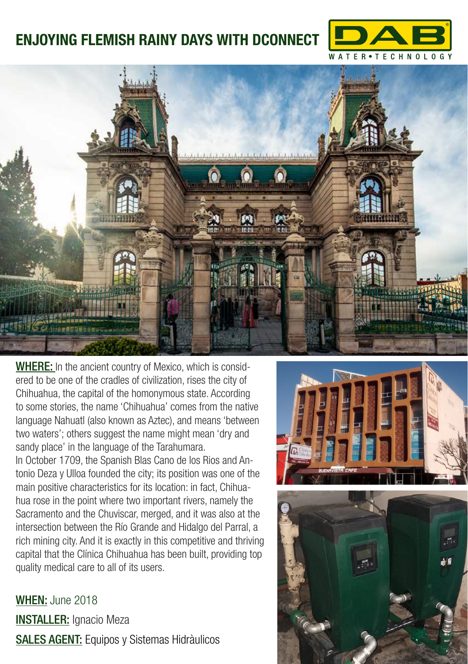## **ENJOYING FLEMISH RAINY DAYS WITH DCONNECT**





WHERE: In the ancient country of Mexico, which is considered to be one of the cradles of civilization, rises the city of Chihuahua, the capital of the homonymous state. According to some stories, the name 'Chihuahua' comes from the native language Nahuatl (also known as Aztec), and means 'between two waters'; others suggest the name might mean 'dry and sandy place' in the language of the Tarahumara. In October 1709, the Spanish Blas Cano de los Rios and Antonio Deza y Ulloa founded the city; its position was one of the main positive characteristics for its location: in fact, Chihuahua rose in the point where two important rivers, namely the Sacramento and the Chuviscar, merged, and it was also at the intersection between the Río Grande and Hidalgo del Parral, a rich mining city. And it is exactly in this competitive and thriving capital that the Clínica Chihuahua has been built, providing top quality medical care to all of its users.

WHEN: June 2018 **INSTALLER:** Ignacio Meza SALES AGENT: Equipos y Sistemas Hidràulicos